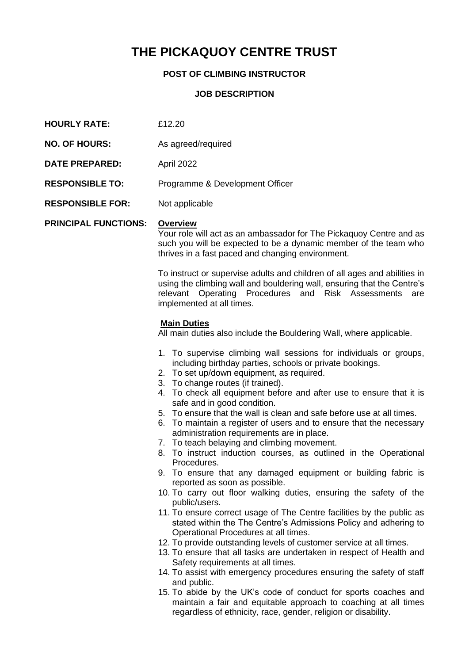# **THE PICKAQUOY CENTRE TRUST**

## **POST OF CLIMBING INSTRUCTOR**

### **JOB DESCRIPTION**

- **HOURLY RATE:** £12.20
- **NO. OF HOURS:** As agreed/required
- **DATE PREPARED:** April 2022
- **RESPONSIBLE TO:** Programme & Development Officer
- **RESPONSIBLE FOR:** Not applicable

#### **PRINCIPAL FUNCTIONS: Overview**

Your role will act as an ambassador for The Pickaquoy Centre and as such you will be expected to be a dynamic member of the team who thrives in a fast paced and changing environment.

To instruct or supervise adults and children of all ages and abilities in using the climbing wall and bouldering wall, ensuring that the Centre's relevant Operating Procedures and Risk Assessments are implemented at all times.

#### **Main Duties**

All main duties also include the Bouldering Wall, where applicable.

- 1. To supervise climbing wall sessions for individuals or groups, including birthday parties, schools or private bookings.
- 2. To set up/down equipment, as required.
- 3. To change routes (if trained).
- 4. To check all equipment before and after use to ensure that it is safe and in good condition.
- 5. To ensure that the wall is clean and safe before use at all times.
- 6. To maintain a register of users and to ensure that the necessary administration requirements are in place.
- 7. To teach belaying and climbing movement.
- 8. To instruct induction courses, as outlined in the Operational Procedures.
- 9. To ensure that any damaged equipment or building fabric is reported as soon as possible.
- 10. To carry out floor walking duties, ensuring the safety of the public/users.
- 11. To ensure correct usage of The Centre facilities by the public as stated within the The Centre's Admissions Policy and adhering to Operational Procedures at all times.
- 12. To provide outstanding levels of customer service at all times.
- 13. To ensure that all tasks are undertaken in respect of Health and Safety requirements at all times.
- 14. To assist with emergency procedures ensuring the safety of staff and public.
- 15. To abide by the UK's code of conduct for sports coaches and maintain a fair and equitable approach to coaching at all times regardless of ethnicity, race, gender, religion or disability.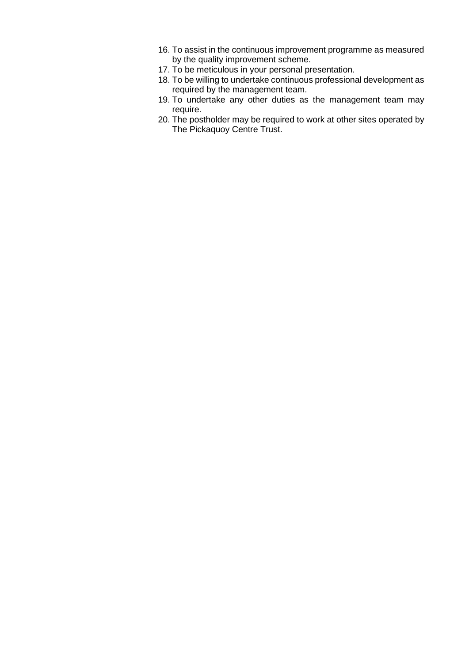- 16. To assist in the continuous improvement programme as measured by the quality improvement scheme.
- 17. To be meticulous in your personal presentation.
- 18. To be willing to undertake continuous professional development as required by the management team.
- 19. To undertake any other duties as the management team may require.
- 20. The postholder may be required to work at other sites operated by The Pickaquoy Centre Trust.